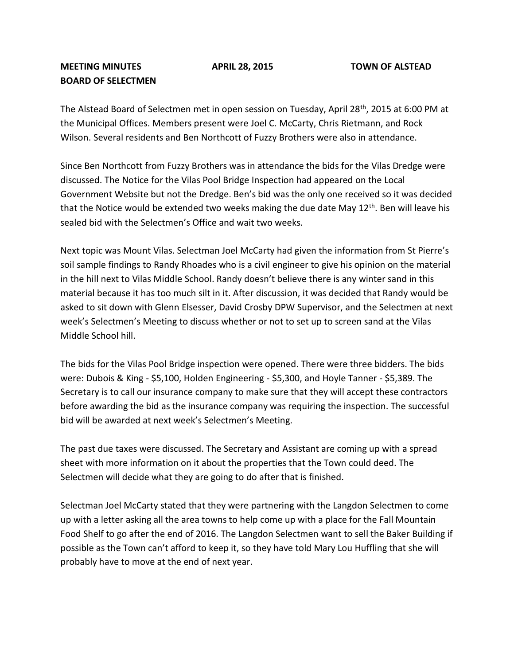## **MEETING MINUTES APRIL 28, 2015 TOWN OF ALSTEAD BOARD OF SELECTMEN**

The Alstead Board of Selectmen met in open session on Tuesday, April 28<sup>th</sup>, 2015 at 6:00 PM at the Municipal Offices. Members present were Joel C. McCarty, Chris Rietmann, and Rock Wilson. Several residents and Ben Northcott of Fuzzy Brothers were also in attendance.

Since Ben Northcott from Fuzzy Brothers was in attendance the bids for the Vilas Dredge were discussed. The Notice for the Vilas Pool Bridge Inspection had appeared on the Local Government Website but not the Dredge. Ben's bid was the only one received so it was decided that the Notice would be extended two weeks making the due date May  $12<sup>th</sup>$ . Ben will leave his sealed bid with the Selectmen's Office and wait two weeks.

Next topic was Mount Vilas. Selectman Joel McCarty had given the information from St Pierre's soil sample findings to Randy Rhoades who is a civil engineer to give his opinion on the material in the hill next to Vilas Middle School. Randy doesn't believe there is any winter sand in this material because it has too much silt in it. After discussion, it was decided that Randy would be asked to sit down with Glenn Elsesser, David Crosby DPW Supervisor, and the Selectmen at next week's Selectmen's Meeting to discuss whether or not to set up to screen sand at the Vilas Middle School hill.

The bids for the Vilas Pool Bridge inspection were opened. There were three bidders. The bids were: Dubois & King - \$5,100, Holden Engineering - \$5,300, and Hoyle Tanner - \$5,389. The Secretary is to call our insurance company to make sure that they will accept these contractors before awarding the bid as the insurance company was requiring the inspection. The successful bid will be awarded at next week's Selectmen's Meeting.

The past due taxes were discussed. The Secretary and Assistant are coming up with a spread sheet with more information on it about the properties that the Town could deed. The Selectmen will decide what they are going to do after that is finished.

Selectman Joel McCarty stated that they were partnering with the Langdon Selectmen to come up with a letter asking all the area towns to help come up with a place for the Fall Mountain Food Shelf to go after the end of 2016. The Langdon Selectmen want to sell the Baker Building if possible as the Town can't afford to keep it, so they have told Mary Lou Huffling that she will probably have to move at the end of next year.